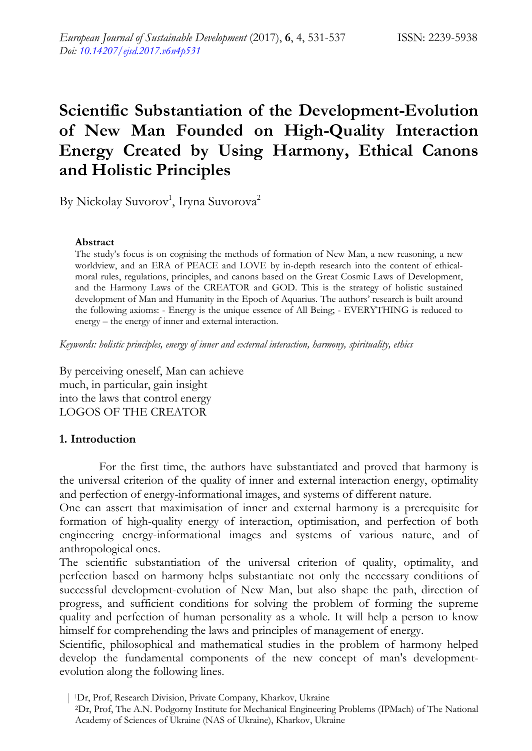# **Scientific Substantiation of the Development-Evolution of New Man Founded on High-Quality Interaction Energy Created by Using Harmony, Ethical Canons and Holistic Principles**

By Nickolay Suvorov<sup>1</sup>, Iryna Suvorova<sup>2</sup>

#### **Abstract**

The study's focus is on cognising the methods of formation of New Man, a new reasoning, a new worldview, and an ERA of PEACE and LOVE by in-depth research into the content of ethicalmoral rules, regulations, principles, and canons based on the Great Cosmic Laws of Development, and the Harmony Laws of the CREATOR and GOD. This is the strategy of holistic sustained development of Man and Humanity in the Epoch of Aquarius. The authors' research is built around the following axioms: - Energy is the unique essence of All Being; - EVERYTHING is reduced to energy – the energy of inner and external interaction.

*Keywords: holistic principles, energy of inner and external interaction, harmony, spirituality, ethics* 

By perceiving oneself, Man can achieve much, in particular, gain insight into the laws that control energy LOGOS OF THE CREATOR

#### **1. Introduction**

For the first time, the authors have substantiated and proved that harmony is the universal criterion of the quality of inner and external interaction energy, optimality and perfection of energy-informational images, and systems of different nature.

One can assert that maximisation of inner and external harmony is a prerequisite for formation of high-quality energy of interaction, optimisation, and perfection of both engineering energy-informational images and systems of various nature, and of anthropological ones.

The scientific substantiation of the universal criterion of quality, optimality, and perfection based on harmony helps substantiate not only the necessary conditions of successful development-evolution of New Man, but also shape the path, direction of progress, and sufficient conditions for solving the problem of forming the supreme quality and perfection of human personality as a whole. It will help a person to know himself for comprehending the laws and principles of management of energy.

Scientific, philosophical and mathematical studies in the problem of harmony helped develop the fundamental components of the new concept of man's developmentevolution along the following lines.

| 1Dr, Prof, Research Division, Private Company, Kharkov, Ukraine

<sup>2</sup>Dr, Prof, The A.N. Podgorny Institute for Mechanical Engineering Problems (IPMach) of The National Academy of Sciences of Ukraine (NAS of Ukraine), Kharkov, Ukraine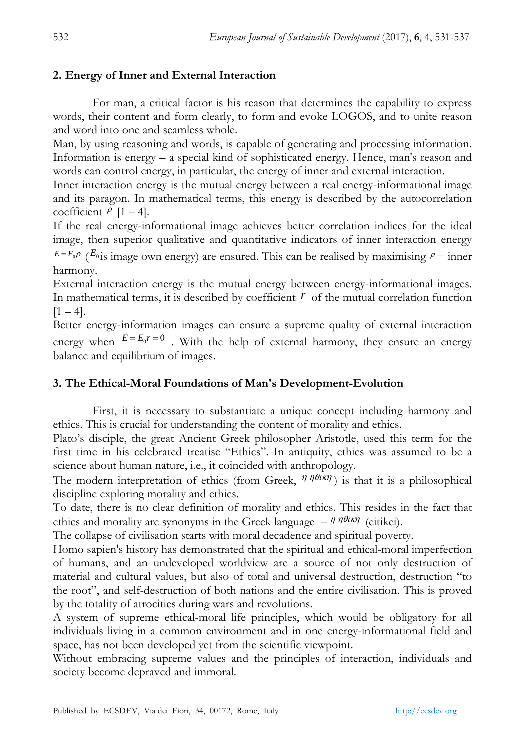### **2. Energy of Inner and External Interaction**

For man, a critical factor is his reason that determines the capability to express words, their content and form clearly, to form and evoke LOGOS, and to unite reason and word into one and seamless whole.

Man, by using reasoning and words, is capable of generating and processing information. Information is energy – a special kind of sophisticated energy. Hence, man's reason and words can control energy, in particular, the energy of inner and external interaction.

Inner interaction energy is the mutual energy between a real energy-informational image and its paragon. In mathematical terms, this energy is described by the autocorrelation coefficient  $\rho$  [1 – 4].

If the real energy-informational image achieves better correlation indices for the ideal image, then superior qualitative and quantitative indicators of inner interaction energy  $E = E_0 \rho$  ( $E_0$  is image own energy) are ensured. This can be realised by maximising  $\rho$  – inner

harmony. External interaction energy is the mutual energy between energy-informational images. In mathematical terms, it is described by coefficient  $\vec{r}$  of the mutual correlation function  $[1 - 4]$ .

Better energy-information images can ensure a supreme quality of external interaction energy when  $E = E_0 r = 0$ . With the help of external harmony, they ensure an energy balance and equilibrium of images.

### **3. The Ethical-Moral Foundations of Man's Development-Evolution**

First, it is necessary to substantiate a unique concept including harmony and ethics. This is crucial for understanding the content of morality and ethics.

Plato's disciple, the great Ancient Greek philosopher Aristotle, used this term for the first time in his celebrated treatise "Ethics". In antiquity, ethics was assumed to be a science about human nature, i.e., it coincided with anthropology.

The modern interpretation of ethics (from Greek,  $\eta \eta \theta \kappa \eta$ ) is that it is a philosophical discipline exploring morality and ethics.

To date, there is no clear definition of morality and ethics. This resides in the fact that ethics and morality are synonyms in the Greek language  $- \eta \eta \theta \iota \kappa \eta$  (eitikei).

The collapse of civilisation starts with moral decadence and spiritual poverty.

Homo sapien's history has demonstrated that the spiritual and ethical-moral imperfection of humans, and an undeveloped worldview are a source of not only destruction of material and cultural values, but also of total and universal destruction, destruction "to the root", and self-destruction of both nations and the entire civilisation. This is proved by the totality of atrocities during wars and revolutions.

A system of supreme ethical-moral life principles, which would be obligatory for all individuals living in a common environment and in one energy-informational field and space, has not been developed yet from the scientific viewpoint.

Without embracing supreme values and the principles of interaction, individuals and society become depraved and immoral.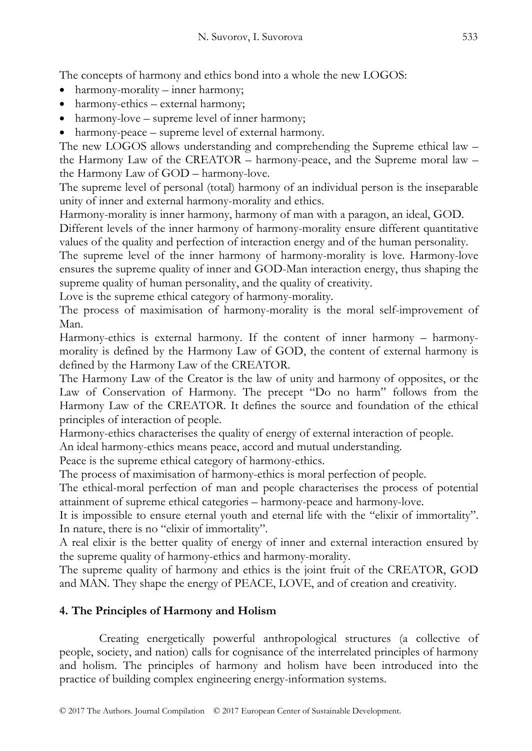The concepts of harmony and ethics bond into a whole the new LOGOS:

- harmony-morality inner harmony;
- harmony-ethics external harmony;
- harmony-love supreme level of inner harmony;
- harmony-peace supreme level of external harmony.

The new LOGOS allows understanding and comprehending the Supreme ethical law – the Harmony Law of the CREATOR – harmony-peace, and the Supreme moral law – the Harmony Law of GOD – harmony-love.

The supreme level of personal (total) harmony of an individual person is the inseparable unity of inner and external harmony-morality and ethics.

Harmony-morality is inner harmony, harmony of man with a paragon, an ideal, GOD.

Different levels of the inner harmony of harmony-morality ensure different quantitative values of the quality and perfection of interaction energy and of the human personality.

The supreme level of the inner harmony of harmony-morality is love. Harmony-love ensures the supreme quality of inner and GOD-Man interaction energy, thus shaping the supreme quality of human personality, and the quality of creativity.

Love is the supreme ethical category of harmony-morality.

The process of maximisation of harmony-morality is the moral self-improvement of Man.

Harmony-ethics is external harmony. If the content of inner harmony – harmonymorality is defined by the Harmony Law of GOD, the content of external harmony is defined by the Harmony Law of the CREATOR.

The Harmony Law of the Creator is the law of unity and harmony of opposites, or the Law of Conservation of Harmony. The precept "Do no harm" follows from the Harmony Law of the CREATOR. It defines the source and foundation of the ethical principles of interaction of people.

Harmony-ethics characterises the quality of energy of external interaction of people.

An ideal harmony-ethics means peace, accord and mutual understanding.

Peace is the supreme ethical category of harmony-ethics.

The process of maximisation of harmony-ethics is moral perfection of people.

The ethical-moral perfection of man and people characterises the process of potential attainment of supreme ethical categories – harmony-peace and harmony-love.

It is impossible to ensure eternal youth and eternal life with the "elixir of immortality". In nature, there is no "elixir of immortality".

A real elixir is the better quality of energy of inner and external interaction ensured by the supreme quality of harmony-ethics and harmony-morality.

The supreme quality of harmony and ethics is the joint fruit of the CREATOR, GOD and MAN. They shape the energy of PEACE, LOVE, and of creation and creativity.

# **4. The Principles of Harmony and Holism**

Creating energetically powerful anthropological structures (a collective of people, society, and nation) calls for cognisance of the interrelated principles of harmony and holism. The principles of harmony and holism have been introduced into the practice of building complex engineering energy-information systems.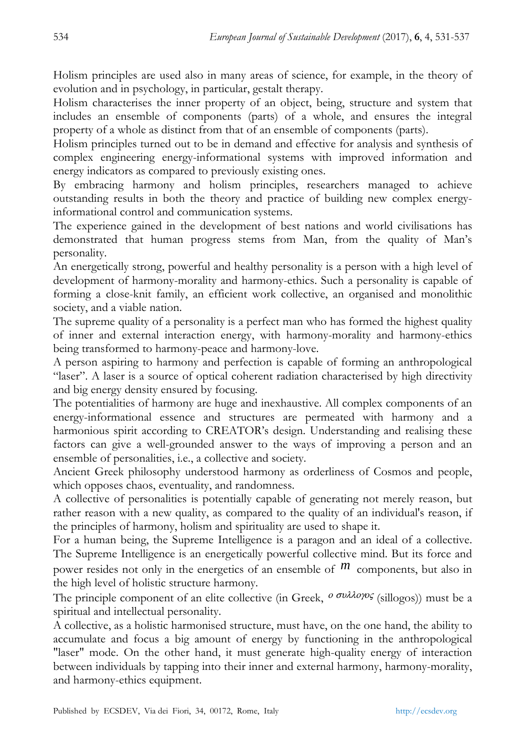Holism principles are used also in many areas of science, for example, in the theory of evolution and in psychology, in particular, gestalt therapy.

Holism characterises the inner property of an object, being, structure and system that includes an ensemble of components (parts) of a whole, and ensures the integral property of a whole as distinct from that of an ensemble of components (parts).

Holism principles turned out to be in demand and effective for analysis and synthesis of complex engineering energy-informational systems with improved information and energy indicators as compared to previously existing ones.

By embracing harmony and holism principles, researchers managed to achieve outstanding results in both the theory and practice of building new complex energyinformational control and communication systems.

The experience gained in the development of best nations and world civilisations has demonstrated that human progress stems from Man, from the quality of Man's personality.

An energetically strong, powerful and healthy personality is a person with a high level of development of harmony-morality and harmony-ethics. Such a personality is capable of forming a close-knit family, an efficient work collective, an organised and monolithic society, and a viable nation.

The supreme quality of a personality is a perfect man who has formed the highest quality of inner and external interaction energy, with harmony-morality and harmony-ethics being transformed to harmony-peace and harmony-love.

A person aspiring to harmony and perfection is capable of forming an anthropological "laser". A laser is a source of optical coherent radiation characterised by high directivity and big energy density ensured by focusing.

The potentialities of harmony are huge and inexhaustive. All complex components of an energy-informational essence and structures are permeated with harmony and a harmonious spirit according to CREATOR's design. Understanding and realising these factors can give a well-grounded answer to the ways of improving a person and an ensemble of personalities, i.e., a collective and society.

Ancient Greek philosophy understood harmony as orderliness of Cosmos and people, which opposes chaos, eventuality, and randomness.

A collective of personalities is potentially capable of generating not merely reason, but rather reason with a new quality, as compared to the quality of an individual's reason, if the principles of harmony, holism and spirituality are used to shape it.

For a human being, the Supreme Intelligence is a paragon and an ideal of a collective. The Supreme Intelligence is an energetically powerful collective mind. But its force and power resides not only in the energetics of an ensemble of  $m$  components, but also in the high level of holistic structure harmony.

The principle component of an elite collective (in Greek,  $\sigma$ <sup>συλλογος</sup> (sillogos)) must be a spiritual and intellectual personality.

A collective, as a holistic harmonised structure, must have, on the one hand, the ability to accumulate and focus a big amount of energy by functioning in the anthropological "laser" mode. On the other hand, it must generate high-quality energy of interaction between individuals by tapping into their inner and external harmony, harmony-morality, and harmony-ethics equipment.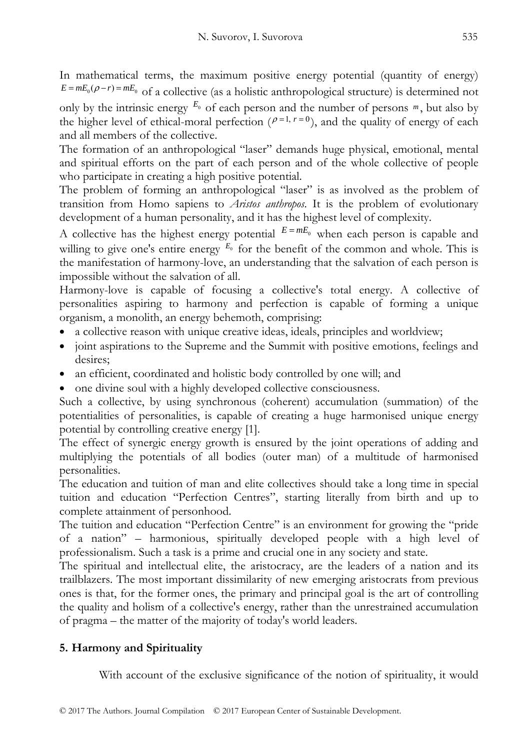In mathematical terms, the maximum positive energy potential (quantity of energy)  $E = mE_0(\rho - r) = mE_0$  of a collective (as a holistic anthropological structure) is determined not only by the intrinsic energy  $E_0$  of each person and the number of persons  $m$ , but also by the higher level of ethical-moral perfection ( $\rho$ =1,  $r$ =0), and the quality of energy of each and all members of the collective.

The formation of an anthropological "laser" demands huge physical, emotional, mental and spiritual efforts on the part of each person and of the whole collective of people who participate in creating a high positive potential.

The problem of forming an anthropological "laser" is as involved as the problem of transition from Homo sapiens to *Aristos anthropos*. It is the problem of evolutionary development of a human personality, and it has the highest level of complexity.

A collective has the highest energy potential  $E = mE_0$  when each person is capable and willing to give one's entire energy  $E_0$  for the benefit of the common and whole. This is the manifestation of harmony-love, an understanding that the salvation of each person is impossible without the salvation of all.

Harmony-love is capable of focusing a collective's total energy. A collective of personalities aspiring to harmony and perfection is capable of forming a unique organism, a monolith, an energy behemoth, comprising:

- a collective reason with unique creative ideas, ideals, principles and worldview;
- joint aspirations to the Supreme and the Summit with positive emotions, feelings and desires;
- an efficient, coordinated and holistic body controlled by one will; and
- one divine soul with a highly developed collective consciousness.

Such a collective, by using synchronous (coherent) accumulation (summation) of the potentialities of personalities, is capable of creating a huge harmonised unique energy potential by controlling creative energy [1].

The effect of synergic energy growth is ensured by the joint operations of adding and multiplying the potentials of all bodies (outer man) of a multitude of harmonised personalities.

The education and tuition of man and elite collectives should take a long time in special tuition and education "Perfection Centres", starting literally from birth and up to complete attainment of personhood.

The tuition and education "Perfection Centre" is an environment for growing the "pride of a nation" – harmonious, spiritually developed people with a high level of professionalism. Such a task is a prime and crucial one in any society and state.

The spiritual and intellectual elite, the aristocracy, are the leaders of a nation and its trailblazers. The most important dissimilarity of new emerging aristocrats from previous ones is that, for the former ones, the primary and principal goal is the art of controlling the quality and holism of a collective's energy, rather than the unrestrained accumulation of pragma – the matter of the majority of today's world leaders.

# **5. Harmony and Spirituality**

With account of the exclusive significance of the notion of spirituality, it would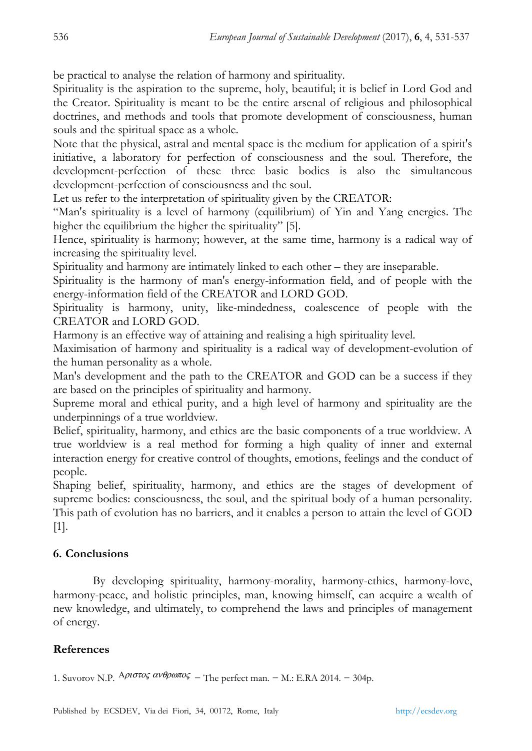be practical to analyse the relation of harmony and spirituality.

Spirituality is the aspiration to the supreme, holy, beautiful; it is belief in Lord God and the Creator. Spirituality is meant to be the entire arsenal of religious and philosophical doctrines, and methods and tools that promote development of consciousness, human souls and the spiritual space as a whole.

Note that the physical, astral and mental space is the medium for application of a spirit's initiative, a laboratory for perfection of consciousness and the soul. Therefore, the development-perfection of these three basic bodies is also the simultaneous development-perfection of consciousness and the soul.

Let us refer to the interpretation of spirituality given by the CREATOR:

"Man's spirituality is a level of harmony (equilibrium) of Yin and Yang energies. The higher the equilibrium the higher the spirituality" [5].

Hence, spirituality is harmony; however, at the same time, harmony is a radical way of increasing the spirituality level.

Spirituality and harmony are intimately linked to each other – they are inseparable.

Spirituality is the harmony of man's energy-information field, and of people with the energy-information field of the CREATOR and LORD GOD.

Spirituality is harmony, unity, like-mindedness, coalescence of people with the CREATOR and LORD GOD.

Harmony is an effective way of attaining and realising a high spirituality level.

Maximisation of harmony and spirituality is a radical way of development-evolution of the human personality as a whole.

Man's development and the path to the CREATOR and GOD can be a success if they are based on the principles of spirituality and harmony.

Supreme moral and ethical purity, and a high level of harmony and spirituality are the underpinnings of a true worldview.

Belief, spirituality, harmony, and ethics are the basic components of a true worldview. A true worldview is a real method for forming a high quality of inner and external interaction energy for creative control of thoughts, emotions, feelings and the conduct of people.

Shaping belief, spirituality, harmony, and ethics are the stages of development of supreme bodies: consciousness, the soul, and the spiritual body of a human personality. This path of evolution has no barriers, and it enables a person to attain the level of GOD [1].

### **6. Conclusions**

By developing spirituality, harmony-morality, harmony-ethics, harmony-love, harmony-peace, and holistic principles, man, knowing himself, can acquire a wealth of new knowledge, and ultimately, to comprehend the laws and principles of management of energy.

### **References**

1. Suvorov N.P.  $A\rho\sigma\sigma\sigma\varsigma$   $\alpha\nu\theta\rho\omega\pi\sigma\varsigma$  – The perfect man. – M.: E.RA 2014. – 304p.